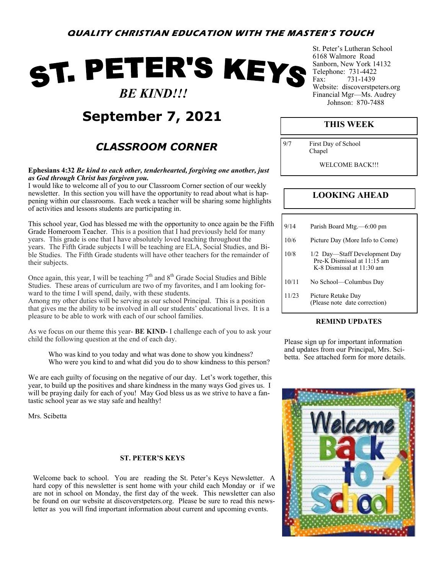## ST. PETER'S KEYS  *BE KIND!!!*

## **September 7, 2021**

## *CLASSROOM CORNER*

#### **Ephesians 4:32** *Be kind to each other, tenderhearted, forgiving one another, just as God through Christ has forgiven you.*

I would like to welcome all of you to our Classroom Corner section of our weekly newsletter. In this section you will have the opportunity to read about what is happening within our classrooms. Each week a teacher will be sharing some highlights of activities and lessons students are participating in.

This school year, God has blessed me with the opportunity to once again be the Fifth Grade Homeroom Teacher. This is a position that I had previously held for many years. This grade is one that I have absolutely loved teaching throughout the years. The Fifth Grade subjects I will be teaching are ELA, Social Studies, and Bible Studies. The Fifth Grade students will have other teachers for the remainder of their subjects.

Once again, this year, I will be teaching  $7<sup>th</sup>$  and  $8<sup>th</sup>$  Grade Social Studies and Bible Studies. These areas of curriculum are two of my favorites, and I am looking forward to the time I will spend, daily, with these students.

Among my other duties will be serving as our school Principal. This is a position that gives me the ability to be involved in all our students' educational lives. It is a pleasure to be able to work with each of our school families.

As we focus on our theme this year- **BE KIND**- I challenge each of you to ask your child the following question at the end of each day.

Who was kind to you today and what was done to show you kindness? Who were you kind to and what did you do to show kindness to this person?

We are each guilty of focusing on the negative of our day. Let's work together, this year, to build up the positives and share kindness in the many ways God gives us. I will be praying daily for each of you! May God bless us as we strive to have a fantastic school year as we stay safe and healthy!

Mrs. Scibetta

#### **ST. PETER'S KEYS**

Welcome back to school. You are reading the St. Peter's Keys Newsletter. A hard copy of this newsletter is sent home with your child each Monday or if we are not in school on Monday, the first day of the week. This newsletter can also be found on our website at discoverstpeters.org. Please be sure to read this newsletter as you will find important information about current and upcoming events.

St. Peter's Lutheran School 6168 Walmore Road Sanborn, New York 14132 Telephone: 731-4422 Fax: 731-1439 Website: discoverstpeters.org Financial Mgr—Ms. Audrey Johnson: 870-7488

### **THIS WEEK**

9/7 First Day of School Chapel

WELCOME BACK!!!

### **LOOKING AHEAD**

| 9/14  | Parish Board Mtg.—6:00 pm                                                                 |
|-------|-------------------------------------------------------------------------------------------|
| 10/6  | Picture Day (More Info to Come)                                                           |
| 10/8  | 1/2 Day—Staff Development Day<br>Pre-K Dismissal at 11:15 am<br>K-8 Dismissal at 11:30 am |
| 10/11 | No School—Columbus Day                                                                    |
| 11/23 | Picture Retake Day<br>(Please note date correction)                                       |

#### **REMIND UPDATES**

Please sign up for important information and updates from our Principal, Mrs. Scibetta. See attached form for more details.

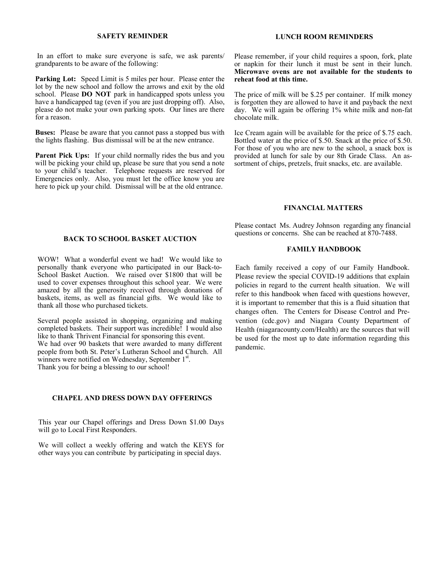#### **SAFETY REMINDER**

In an effort to make sure everyone is safe, we ask parents/ grandparents to be aware of the following:

**Parking Lot:** Speed Limit is 5 miles per hour. Please enter the lot by the new school and follow the arrows and exit by the old school. Please **DO NOT** park in handicapped spots unless you have a handicapped tag (even if you are just dropping off). Also, please do not make your own parking spots. Our lines are there for a reason.

**Buses:** Please be aware that you cannot pass a stopped bus with the lights flashing. Bus dismissal will be at the new entrance.

**Parent Pick Ups:** If your child normally rides the bus and you will be picking your child up, please be sure that you send a note to your child's teacher. Telephone requests are reserved for Emergencies only. Also, you must let the office know you are here to pick up your child. Dismissal will be at the old entrance.

#### **LUNCH ROOM REMINDERS**

Please remember, if your child requires a spoon, fork, plate or napkin for their lunch it must be sent in their lunch. **Microwave ovens are not available for the students to reheat food at this time.**

The price of milk will be \$.25 per container. If milk money is forgotten they are allowed to have it and payback the next day. We will again be offering 1% white milk and non-fat chocolate milk.

Ice Cream again will be available for the price of \$.75 each. Bottled water at the price of \$.50. Snack at the price of \$.50. For those of you who are new to the school, a snack box is provided at lunch for sale by our 8th Grade Class. An assortment of chips, pretzels, fruit snacks, etc. are available.

#### **FINANCIAL MATTERS**

Please contact Ms. Audrey Johnson regarding any financial questions or concerns. She can be reached at 870-7488.

#### **FAMILY HANDBOOK**

Each family received a copy of our Family Handbook. Please review the special COVID-19 additions that explain policies in regard to the current health situation. We will refer to this handbook when faced with questions however, it is important to remember that this is a fluid situation that changes often. The Centers for Disease Control and Prevention (cdc.gov) and Niagara County Department of Health (niagaracounty.com/Health) are the sources that will be used for the most up to date information regarding this pandemic.

#### **BACK TO SCHOOL BASKET AUCTION**

WOW! What a wonderful event we had! We would like to personally thank everyone who participated in our Back-to-School Basket Auction. We raised over \$1800 that will be used to cover expenses throughout this school year. We were amazed by all the generosity received through donations of baskets, items, as well as financial gifts. We would like to thank all those who purchased tickets.

Several people assisted in shopping, organizing and making completed baskets. Their support was incredible! I would also like to thank Thrivent Financial for sponsoring this event. We had over 90 baskets that were awarded to many different people from both St. Peter's Lutheran School and Church. All  $\frac{1}{2}$  winners were notified on Wednesday, September 1st. Thank you for being a blessing to our school!

#### **CHAPEL AND DRESS DOWN DAY OFFERINGS**

This year our Chapel offerings and Dress Down \$1.00 Days will go to Local First Responders.

We will collect a weekly offering and watch the KEYS for other ways you can contribute by participating in special days.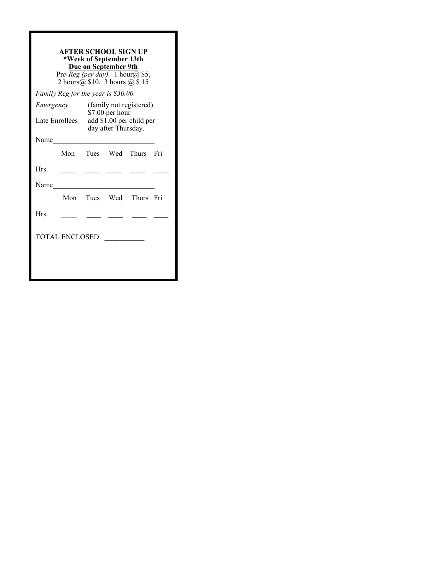| <b>AFTER SCHOOL SIGN UP</b><br>*Week of September 13th<br>Due on September 9th<br>$Pre-Reg (per day)$ 1 hour@ \$5,<br>2 hours $(a)$ \$10, 3 hours $(a)$ \$15 |                |                                                                                               |  |                        |     |  |  |  |  |
|--------------------------------------------------------------------------------------------------------------------------------------------------------------|----------------|-----------------------------------------------------------------------------------------------|--|------------------------|-----|--|--|--|--|
| Family Reg for the year is \$30.00.                                                                                                                          |                |                                                                                               |  |                        |     |  |  |  |  |
| Emergency                                                                                                                                                    | Late Enrollees | (family not registered)<br>\$7.00 per hour<br>add \$1.00 per child per<br>day after Thursday. |  |                        |     |  |  |  |  |
|                                                                                                                                                              |                |                                                                                               |  |                        |     |  |  |  |  |
| Name                                                                                                                                                         |                |                                                                                               |  |                        |     |  |  |  |  |
|                                                                                                                                                              |                |                                                                                               |  | Mon Tues Wed Thurs     | Fri |  |  |  |  |
| Hrs.                                                                                                                                                         |                |                                                                                               |  |                        |     |  |  |  |  |
| Name                                                                                                                                                         |                |                                                                                               |  |                        |     |  |  |  |  |
|                                                                                                                                                              |                |                                                                                               |  | Mon Tues Wed Thurs Fri |     |  |  |  |  |
| Hrs.                                                                                                                                                         |                |                                                                                               |  |                        |     |  |  |  |  |
| TOTAL ENCLOSED                                                                                                                                               |                |                                                                                               |  |                        |     |  |  |  |  |
|                                                                                                                                                              |                |                                                                                               |  |                        |     |  |  |  |  |
|                                                                                                                                                              |                |                                                                                               |  |                        |     |  |  |  |  |
|                                                                                                                                                              |                |                                                                                               |  |                        |     |  |  |  |  |